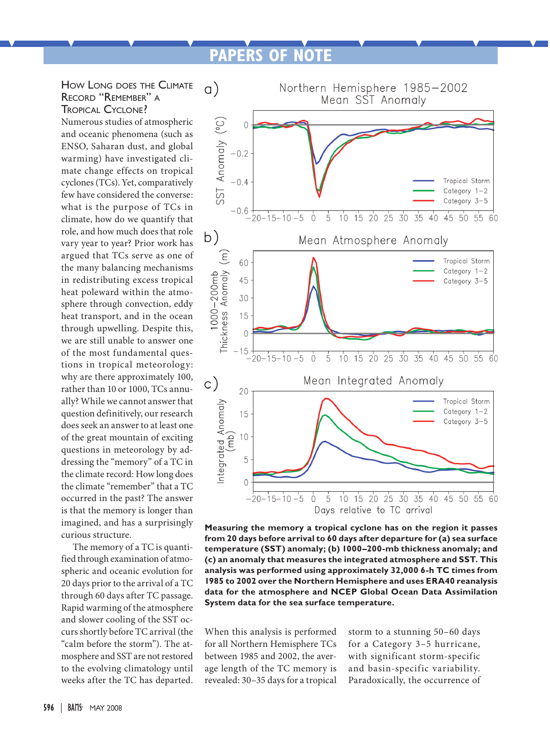## **PAPERS OF NOTE**



Numerous studies of atmospheric and oceanic phenomena (such as ENSO, Saharan dust, and global warming) have investigated climate change effects on tropical cyclones (TCs). Yet, comparatively few have considered the converse: what is the purpose of TCs in climate, how do we quantify that role, and how much does that role vary year to year? Prior work has argued that TCs serve as one of the many balancing mechanisms in redistributing excess tropical heat poleward within the atmosphere through convection, eddy heat transport, and in the ocean through upwelling. Despite this, we are still unable to answer one of the most fundamental questions in tropical meteorology: why are there approximately 100, rather than 10 or 1000, TCs annually? While we cannot answer that question definitively, our research does seek an answer to at least one of the great mountain of exciting questions in meteorology by addressing the "memory" of a TC in the climate record: How long does the climate "remember" that a TC occurred in the past? The answer is that the memory is longer than imagined, and has a surprisingly curious structure.

The memory of a TC is quantified through examination of atmospheric and oceanic evolution for 20 days prior to the arrival of a TC through 60 days after TC passage. Rapid warming of the atmosphere and slower cooling of the SST occurs shortly before TC arrival (the "calm before the storm"). The atmosphere and SST are not restored to the evolving climatology until weeks after the TC has departed.



**Measuring the memory a tropical cyclone has on the region it passes from 20 days before arrival to 60 days after departure for (a) sea surface temperature (SST) anomaly; (b) 1000–200-mb thickness anomaly; and (c) an anomaly that measures the integrated atmosphere and SST. This analysis was performed using approximately 32,000 6-h TC times from 1985 to 2002 over the Northern Hemisphere and uses ERA40 reanalysis data for the atmosphere and NCEP Global Ocean Data Assimilation System data for the sea surface temperature.**

When this analysis is performed for all Northern Hemisphere TCs between 1985 and 2002, the average length of the TC memory is revealed: 30–35 days for a tropical storm to a stunning 50–60 days for a Category 3–5 hurricane, with significant storm-specific and basin-specific variability. Paradoxically, the occurrence of